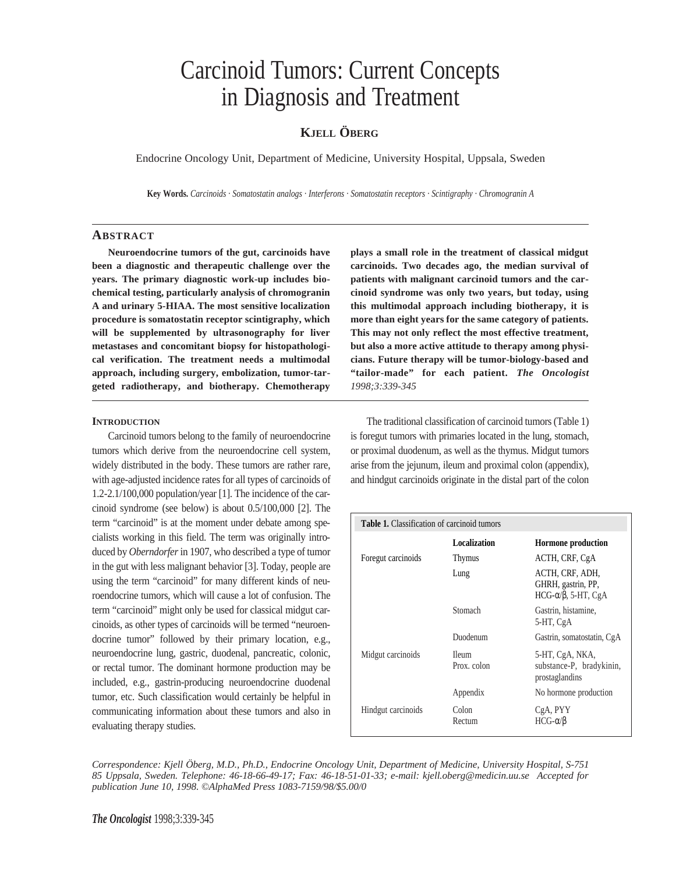# Carcinoid Tumors: Current Concepts in Diagnosis and Treatment

# **KJELL ÖBERG**

Endocrine Oncology Unit, Department of Medicine, University Hospital, Uppsala, Sweden

**Key Words.** *Carcinoids · Somatostatin analogs · Interferons · Somatostatin receptors · Scintigraphy · Chromogranin A*

#### **ABSTRACT**

**Neuroendocrine tumors of the gut, carcinoids have been a diagnostic and therapeutic challenge over the years. The primary diagnostic work-up includes biochemical testing, particularly analysis of chromogranin A and urinary 5-HIAA. The most sensitive localization procedure is somatostatin receptor scintigraphy, which will be supplemented by ultrasonography for liver metastases and concomitant biopsy for histopathological verification. The treatment needs a multimodal approach, including surgery, embolization, tumor-targeted radiotherapy, and biotherapy. Chemotherapy**

#### **INTRODUCTION**

Carcinoid tumors belong to the family of neuroendocrine tumors which derive from the neuroendocrine cell system, widely distributed in the body. These tumors are rather rare, with age-adjusted incidence rates for all types of carcinoids of 1.2-2.1/100,000 population/year [1]. The incidence of the carcinoid syndrome (see below) is about 0.5/100,000 [2]. The term "carcinoid" is at the moment under debate among specialists working in this field. The term was originally introduced by *Oberndorfer*in 1907, who described a type of tumor in the gut with less malignant behavior [3]. Today, people are using the term "carcinoid" for many different kinds of neuroendocrine tumors, which will cause a lot of confusion. The term "carcinoid" might only be used for classical midgut carcinoids, as other types of carcinoids will be termed "neuroendocrine tumor" followed by their primary location, e.g., neuroendocrine lung, gastric, duodenal, pancreatic, colonic, or rectal tumor. The dominant hormone production may be included, e.g., gastrin-producing neuroendocrine duodenal tumor, etc. Such classification would certainly be helpful in communicating information about these tumors and also in evaluating therapy studies.

**plays a small role in the treatment of classical midgut carcinoids. Two decades ago, the median survival of patients with malignant carcinoid tumors and the carcinoid syndrome was only two years, but today, using this multimodal approach including biotherapy, it is more than eight years for the same category of patients. This may not only reflect the most effective treatment, but also a more active attitude to therapy among physicians. Future therapy will be tumor-biology-based and "tailor-made" for each patient.** *The Oncologist 1998;3:339-345*

The traditional classification of carcinoid tumors (Table 1) is foregut tumors with primaries located in the lung, stomach, or proximal duodenum, as well as the thymus. Midgut tumors arise from the jejunum, ileum and proximal colon (appendix), and hindgut carcinoids originate in the distal part of the colon

| <b>Table 1.</b> Classification of carcinoid tumors |                             |                                                                           |
|----------------------------------------------------|-----------------------------|---------------------------------------------------------------------------|
|                                                    | Localization                | <b>Hormone</b> production                                                 |
| Foregut carcinoids                                 | <b>Thymus</b>               | ACTH, CRF, CgA                                                            |
|                                                    | Lung                        | ACTH, CRF, ADH,<br>GHRH, gastrin, PP,<br>$HCG-\alpha/\beta$ , 5-HT, $CgA$ |
|                                                    | Stomach                     | Gastrin, histamine,<br>5-HT, CgA                                          |
|                                                    | Duodenum                    | Gastrin, somatostatin, CgA                                                |
| Midgut carcinoids                                  | <b>Ileum</b><br>Prox. colon | 5-HT, CgA, NKA,<br>substance-P, bradykinin,<br>prostaglandins             |
|                                                    | Appendix                    | No hormone production                                                     |
| Hindgut carcinoids                                 | Colon<br>Rectum             | CgA, PYY<br>$HCG-\alpha/\beta$                                            |

*Correspondence: Kjell Öberg, M.D., Ph.D., Endocrine Oncology Unit, Department of Medicine, University Hospital, S-751 85 Uppsala, Sweden. Telephone: 46-18-66-49-17; Fax: 46-18-51-01-33; e-mail: kjell.oberg@medicin.uu.se Accepted for publication June 10, 1998. ©AlphaMed Press 1083-7159/98/\$5.00/0*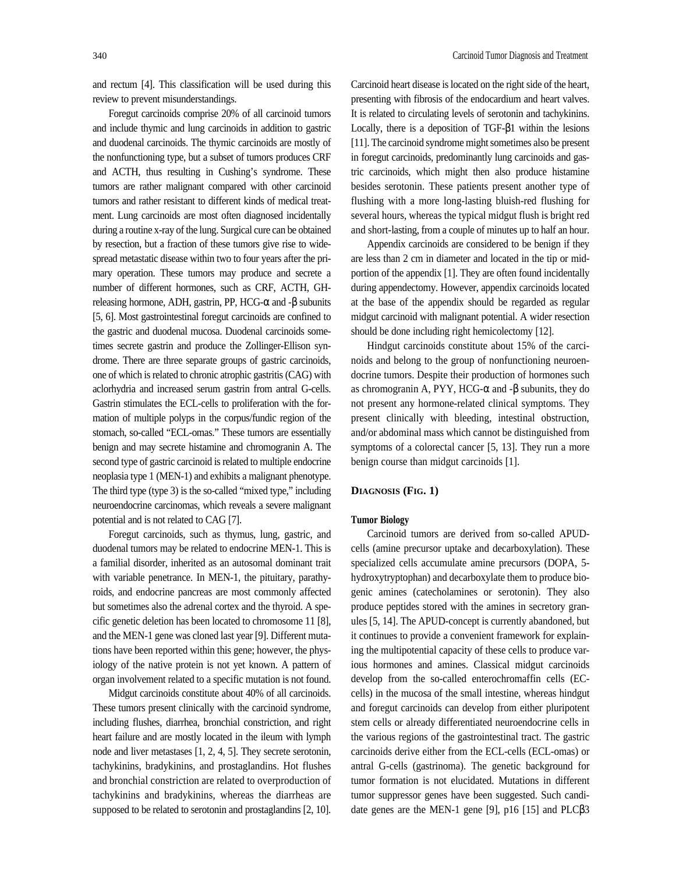and rectum [4]. This classification will be used during this review to prevent misunderstandings.

Foregut carcinoids comprise 20% of all carcinoid tumors and include thymic and lung carcinoids in addition to gastric and duodenal carcinoids. The thymic carcinoids are mostly of the nonfunctioning type, but a subset of tumors produces CRF and ACTH, thus resulting in Cushing's syndrome. These tumors are rather malignant compared with other carcinoid tumors and rather resistant to different kinds of medical treatment. Lung carcinoids are most often diagnosed incidentally during a routine x-ray of the lung. Surgical cure can be obtained by resection, but a fraction of these tumors give rise to widespread metastatic disease within two to four years after the primary operation. These tumors may produce and secrete a number of different hormones, such as CRF, ACTH, GHreleasing hormone, ADH, gastrin, PP, HCG- $\alpha$  and -β subunits [5, 6]. Most gastrointestinal foregut carcinoids are confined to the gastric and duodenal mucosa. Duodenal carcinoids sometimes secrete gastrin and produce the Zollinger-Ellison syndrome. There are three separate groups of gastric carcinoids, one of which is related to chronic atrophic gastritis (CAG) with aclorhydria and increased serum gastrin from antral G-cells. Gastrin stimulates the ECL-cells to proliferation with the formation of multiple polyps in the corpus/fundic region of the stomach, so-called "ECL-omas." These tumors are essentially benign and may secrete histamine and chromogranin A. The second type of gastric carcinoid is related to multiple endocrine neoplasia type 1 (MEN-1) and exhibits a malignant phenotype. The third type (type 3) is the so-called "mixed type," including neuroendocrine carcinomas, which reveals a severe malignant potential and is not related to CAG [7].

Foregut carcinoids, such as thymus, lung, gastric, and duodenal tumors may be related to endocrine MEN-1. This is a familial disorder, inherited as an autosomal dominant trait with variable penetrance. In MEN-1, the pituitary, parathyroids, and endocrine pancreas are most commonly affected but sometimes also the adrenal cortex and the thyroid. A specific genetic deletion has been located to chromosome 11 [8], and the MEN-1 gene was cloned last year [9]. Different mutations have been reported within this gene; however, the physiology of the native protein is not yet known. A pattern of organ involvement related to a specific mutation is not found.

Midgut carcinoids constitute about 40% of all carcinoids. These tumors present clinically with the carcinoid syndrome, including flushes, diarrhea, bronchial constriction, and right heart failure and are mostly located in the ileum with lymph node and liver metastases [1, 2, 4, 5]. They secrete serotonin, tachykinins, bradykinins, and prostaglandins. Hot flushes and bronchial constriction are related to overproduction of tachykinins and bradykinins, whereas the diarrheas are supposed to be related to serotonin and prostaglandins [2, 10]. Carcinoid heart disease is located on the right side of the heart, presenting with fibrosis of the endocardium and heart valves. It is related to circulating levels of serotonin and tachykinins. Locally, there is a deposition of TGF-β1 within the lesions [11]. The carcinoid syndrome might sometimes also be present in foregut carcinoids, predominantly lung carcinoids and gastric carcinoids, which might then also produce histamine besides serotonin. These patients present another type of flushing with a more long-lasting bluish-red flushing for several hours, whereas the typical midgut flush is bright red and short-lasting, from a couple of minutes up to half an hour.

Appendix carcinoids are considered to be benign if they are less than 2 cm in diameter and located in the tip or midportion of the appendix [1]. They are often found incidentally during appendectomy. However, appendix carcinoids located at the base of the appendix should be regarded as regular midgut carcinoid with malignant potential. A wider resection should be done including right hemicolectomy [12].

Hindgut carcinoids constitute about 15% of the carcinoids and belong to the group of nonfunctioning neuroendocrine tumors. Despite their production of hormones such as chromogranin A, PYY, HCG-α and -β subunits, they do not present any hormone-related clinical symptoms. They present clinically with bleeding, intestinal obstruction, and/or abdominal mass which cannot be distinguished from symptoms of a colorectal cancer [5, 13]. They run a more benign course than midgut carcinoids [1].

#### **DIAGNOSIS (FIG. 1)**

# **Tumor Biology**

Carcinoid tumors are derived from so-called APUDcells (amine precursor uptake and decarboxylation). These specialized cells accumulate amine precursors (DOPA, 5 hydroxytryptophan) and decarboxylate them to produce biogenic amines (catecholamines or serotonin). They also produce peptides stored with the amines in secretory granules [5, 14]. The APUD-concept is currently abandoned, but it continues to provide a convenient framework for explaining the multipotential capacity of these cells to produce various hormones and amines. Classical midgut carcinoids develop from the so-called enterochromaffin cells (ECcells) in the mucosa of the small intestine, whereas hindgut and foregut carcinoids can develop from either pluripotent stem cells or already differentiated neuroendocrine cells in the various regions of the gastrointestinal tract. The gastric carcinoids derive either from the ECL-cells (ECL-omas) or antral G-cells (gastrinoma). The genetic background for tumor formation is not elucidated. Mutations in different tumor suppressor genes have been suggested. Such candidate genes are the MEN-1 gene [9], p16 [15] and PLCβ3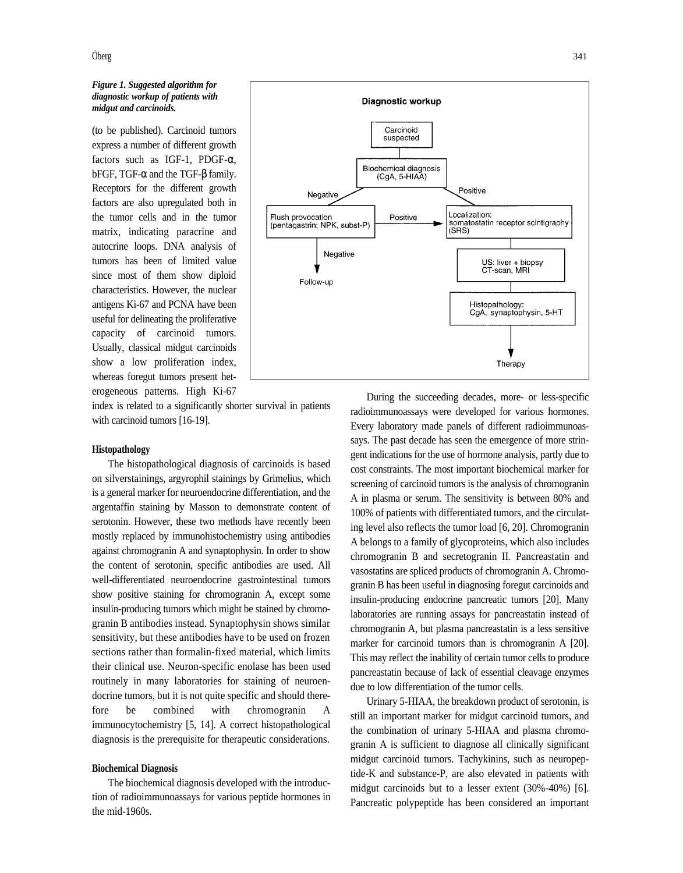# *Figure 1. Suggested algorithm for diagnostic workup of patients with midgut and carcinoids.*

(to be published). Carcinoid tumors express a number of different growth factors such as IGF-1, PDGF-α, bFGF, TGF-α and the TGF-β family. Receptors for the different growth factors are also upregulated both in the tumor cells and in the tumor matrix, indicating paracrine and autocrine loops. DNA analysis of tumors has been of limited value since most of them show diploid characteristics. However, the nuclear antigens Ki-67 and PCNA have been useful for delineating the proliferative capacity of carcinoid tumors. Usually, classical midgut carcinoids show a low proliferation index, whereas foregut tumors present heterogeneous patterns. High Ki-67



index is related to a significantly shorter survival in patients with carcinoid tumors [16-19].

#### **Histopathology**

The histopathological diagnosis of carcinoids is based on silverstainings, argyrophil stainings by Grimelius, which is a general marker for neuroendocrine differentiation, and the argentaffin staining by Masson to demonstrate content of serotonin. However, these two methods have recently been mostly replaced by immunohistochemistry using antibodies against chromogranin A and synaptophysin. In order to show the content of serotonin, specific antibodies are used. All well-differentiated neuroendocrine gastrointestinal tumors show positive staining for chromogranin A, except some insulin-producing tumors which might be stained by chromogranin B antibodies instead. Synaptophysin shows similar sensitivity, but these antibodies have to be used on frozen sections rather than formalin-fixed material, which limits their clinical use. Neuron-specific enolase has been used routinely in many laboratories for staining of neuroendocrine tumors, but it is not quite specific and should therefore be combined with chromogranin A immunocytochemistry [5, 14]. A correct histopathological diagnosis is the prerequisite for therapeutic considerations.

#### **Biochemical Diagnosis**

The biochemical diagnosis developed with the introduction of radioimmunoassays for various peptide hormones in the mid-1960s.

During the succeeding decades, more- or less-specific radioimmunoassays were developed for various hormones. Every laboratory made panels of different radioimmunoassays. The past decade has seen the emergence of more stringent indications for the use of hormone analysis, partly due to cost constraints. The most important biochemical marker for screening of carcinoid tumors is the analysis of chromogranin A in plasma or serum. The sensitivity is between 80% and 100% of patients with differentiated tumors, and the circulating level also reflects the tumor load [6, 20]. Chromogranin A belongs to a family of glycoproteins, which also includes chromogranin B and secretogranin II. Pancreastatin and vasostatins are spliced products of chromogranin A. Chromogranin B has been useful in diagnosing foregut carcinoids and insulin-producing endocrine pancreatic tumors [20]. Many laboratories are running assays for pancreastatin instead of chromogranin A, but plasma pancreastatin is a less sensitive marker for carcinoid tumors than is chromogranin A [20]. This may reflect the inability of certain tumor cells to produce pancreastatin because of lack of essential cleavage enzymes due to low differentiation of the tumor cells.

Urinary 5-HIAA, the breakdown product of serotonin, is still an important marker for midgut carcinoid tumors, and the combination of urinary 5-HIAA and plasma chromogranin A is sufficient to diagnose all clinically significant midgut carcinoid tumors. Tachykinins, such as neuropeptide-K and substance-P, are also elevated in patients with midgut carcinoids but to a lesser extent (30%-40%) [6]. Pancreatic polypeptide has been considered an important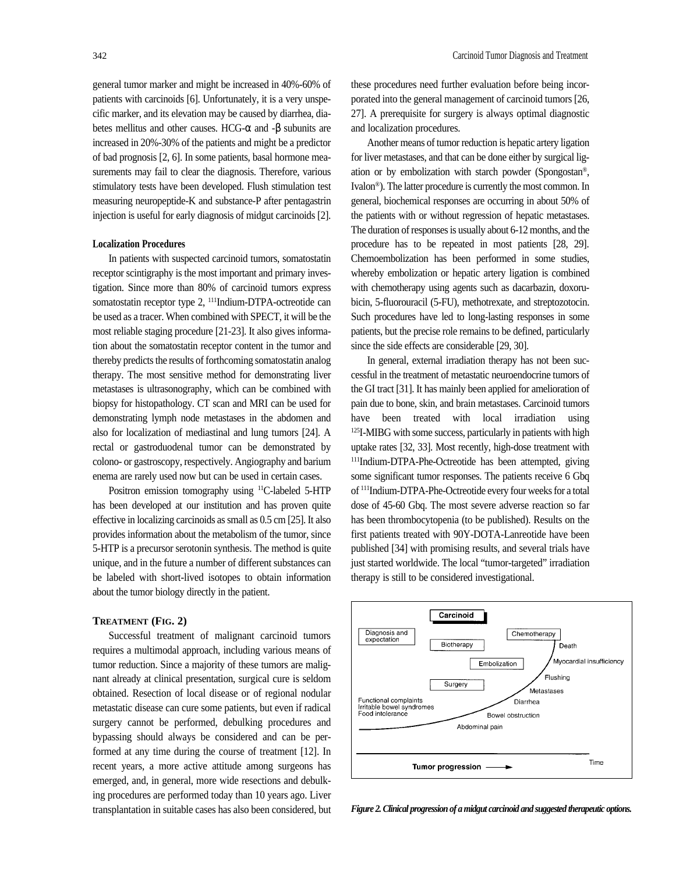general tumor marker and might be increased in 40%-60% of patients with carcinoids [6]. Unfortunately, it is a very unspecific marker, and its elevation may be caused by diarrhea, diabetes mellitus and other causes. HCG-α and -β subunits are increased in 20%-30% of the patients and might be a predictor of bad prognosis [2, 6]. In some patients, basal hormone measurements may fail to clear the diagnosis. Therefore, various stimulatory tests have been developed. Flush stimulation test measuring neuropeptide-K and substance-P after pentagastrin injection is useful for early diagnosis of midgut carcinoids [2].

#### **Localization Procedures**

In patients with suspected carcinoid tumors, somatostatin receptor scintigraphy is the most important and primary investigation. Since more than 80% of carcinoid tumors express somatostatin receptor type 2, <sup>111</sup>Indium-DTPA-octreotide can be used as a tracer. When combined with SPECT, it will be the most reliable staging procedure [21-23]. It also gives information about the somatostatin receptor content in the tumor and thereby predicts the results of forthcoming somatostatin analog therapy. The most sensitive method for demonstrating liver metastases is ultrasonography, which can be combined with biopsy for histopathology. CT scan and MRI can be used for demonstrating lymph node metastases in the abdomen and also for localization of mediastinal and lung tumors [24]. A rectal or gastroduodenal tumor can be demonstrated by colono- or gastroscopy, respectively. Angiography and barium enema are rarely used now but can be used in certain cases.

Positron emission tomography using 11C-labeled 5-HTP has been developed at our institution and has proven quite effective in localizing carcinoids as small as 0.5 cm [25]. It also provides information about the metabolism of the tumor, since 5-HTP is a precursor serotonin synthesis. The method is quite unique, and in the future a number of different substances can be labeled with short-lived isotopes to obtain information about the tumor biology directly in the patient.

#### **TREATMENT (FIG. 2)**

Successful treatment of malignant carcinoid tumors requires a multimodal approach, including various means of tumor reduction. Since a majority of these tumors are malignant already at clinical presentation, surgical cure is seldom obtained. Resection of local disease or of regional nodular metastatic disease can cure some patients, but even if radical surgery cannot be performed, debulking procedures and bypassing should always be considered and can be performed at any time during the course of treatment [12]. In recent years, a more active attitude among surgeons has emerged, and, in general, more wide resections and debulking procedures are performed today than 10 years ago. Liver transplantation in suitable cases has also been considered, but these procedures need further evaluation before being incorporated into the general management of carcinoid tumors [26, 27]. A prerequisite for surgery is always optimal diagnostic and localization procedures.

Another means of tumor reduction is hepatic artery ligation for liver metastases, and that can be done either by surgical ligation or by embolization with starch powder (Spongostan®, Ivalon®). The latter procedure is currently the most common. In general, biochemical responses are occurring in about 50% of the patients with or without regression of hepatic metastases. The duration of responses is usually about 6-12 months, and the procedure has to be repeated in most patients [28, 29]. Chemoembolization has been performed in some studies, whereby embolization or hepatic artery ligation is combined with chemotherapy using agents such as dacarbazin, doxorubicin, 5-fluorouracil (5-FU), methotrexate, and streptozotocin. Such procedures have led to long-lasting responses in some patients, but the precise role remains to be defined, particularly since the side effects are considerable [29, 30].

In general, external irradiation therapy has not been successful in the treatment of metastatic neuroendocrine tumors of the GI tract [31]. It has mainly been applied for amelioration of pain due to bone, skin, and brain metastases. Carcinoid tumors have been treated with local irradiation using <sup>125</sup>I-MIBG with some success, particularly in patients with high uptake rates [32, 33]. Most recently, high-dose treatment with 111Indium-DTPA-Phe-Octreotide has been attempted, giving some significant tumor responses. The patients receive 6 Gbq of 111Indium-DTPA-Phe-Octreotide every four weeks for a total dose of 45-60 Gbq. The most severe adverse reaction so far has been thrombocytopenia (to be published). Results on the first patients treated with 90Y-DOTA-Lanreotide have been published [34] with promising results, and several trials have just started worldwide. The local "tumor-targeted" irradiation therapy is still to be considered investigational.



*Figure 2. Clinical progression of a midgut carcinoid and suggested therapeutic options.*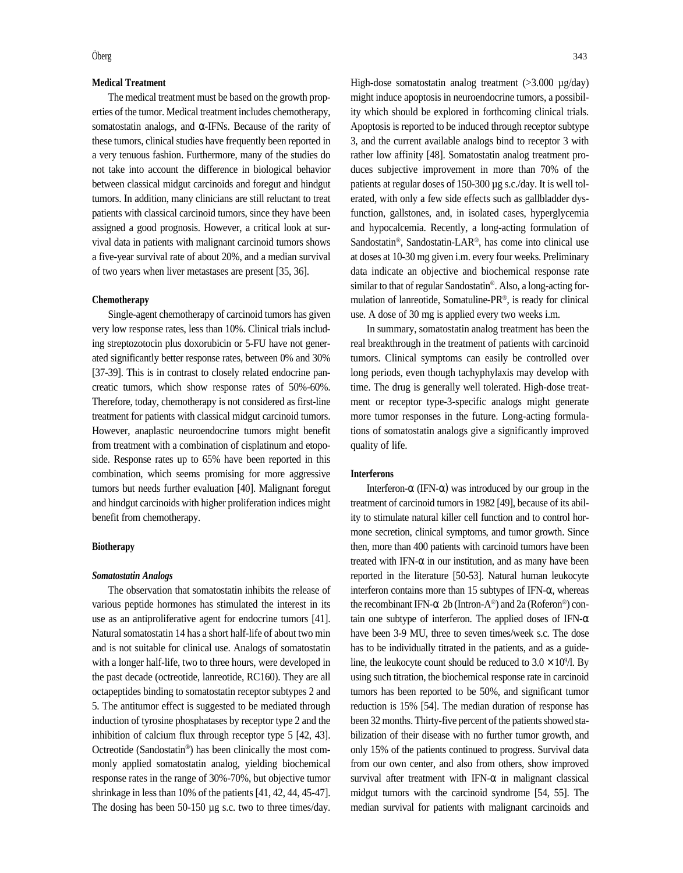#### **Medical Treatment**

The medical treatment must be based on the growth properties of the tumor. Medical treatment includes chemotherapy, somatostatin analogs, and α-IFNs. Because of the rarity of these tumors, clinical studies have frequently been reported in a very tenuous fashion. Furthermore, many of the studies do not take into account the difference in biological behavior between classical midgut carcinoids and foregut and hindgut tumors. In addition, many clinicians are still reluctant to treat patients with classical carcinoid tumors, since they have been assigned a good prognosis. However, a critical look at survival data in patients with malignant carcinoid tumors shows a five-year survival rate of about 20%, and a median survival of two years when liver metastases are present [35, 36].

#### **Chemotherapy**

Single-agent chemotherapy of carcinoid tumors has given very low response rates, less than 10%. Clinical trials including streptozotocin plus doxorubicin or 5-FU have not generated significantly better response rates, between 0% and 30% [37-39]. This is in contrast to closely related endocrine pancreatic tumors, which show response rates of 50%-60%. Therefore, today, chemotherapy is not considered as first-line treatment for patients with classical midgut carcinoid tumors. However, anaplastic neuroendocrine tumors might benefit from treatment with a combination of cisplatinum and etoposide. Response rates up to 65% have been reported in this combination, which seems promising for more aggressive tumors but needs further evaluation [40]. Malignant foregut and hindgut carcinoids with higher proliferation indices might benefit from chemotherapy.

#### **Biotherapy**

#### *Somatostatin Analogs*

The observation that somatostatin inhibits the release of various peptide hormones has stimulated the interest in its use as an antiproliferative agent for endocrine tumors [41]. Natural somatostatin 14 has a short half-life of about two min and is not suitable for clinical use. Analogs of somatostatin with a longer half-life, two to three hours, were developed in the past decade (octreotide, lanreotide, RC160). They are all octapeptides binding to somatostatin receptor subtypes 2 and 5. The antitumor effect is suggested to be mediated through induction of tyrosine phosphatases by receptor type 2 and the inhibition of calcium flux through receptor type 5 [42, 43]. Octreotide (Sandostatin®) has been clinically the most commonly applied somatostatin analog, yielding biochemical response rates in the range of 30%-70%, but objective tumor shrinkage in less than 10% of the patients [41, 42, 44, 45-47]. The dosing has been 50-150 µg s.c. two to three times/day. High-dose somatostatin analog treatment (>3.000 µg/day) might induce apoptosis in neuroendocrine tumors, a possibility which should be explored in forthcoming clinical trials. Apoptosis is reported to be induced through receptor subtype 3, and the current available analogs bind to receptor 3 with rather low affinity [48]. Somatostatin analog treatment produces subjective improvement in more than 70% of the patients at regular doses of 150-300 µg s.c./day. It is well tolerated, with only a few side effects such as gallbladder dysfunction, gallstones, and, in isolated cases, hyperglycemia and hypocalcemia. Recently, a long-acting formulation of Sandostatin®, Sandostatin-LAR®, has come into clinical use at doses at 10-30 mg given i.m. every four weeks. Preliminary data indicate an objective and biochemical response rate similar to that of regular Sandostatin®. Also, a long-acting formulation of lanreotide, Somatuline-PR®, is ready for clinical use. A dose of 30 mg is applied every two weeks i.m.

In summary, somatostatin analog treatment has been the real breakthrough in the treatment of patients with carcinoid tumors. Clinical symptoms can easily be controlled over long periods, even though tachyphylaxis may develop with time. The drug is generally well tolerated. High-dose treatment or receptor type-3-specific analogs might generate more tumor responses in the future. Long-acting formulations of somatostatin analogs give a significantly improved quality of life.

#### **Interferons**

Interferon-α (IFN-α) was introduced by our group in the treatment of carcinoid tumors in 1982 [49], because of its ability to stimulate natural killer cell function and to control hormone secretion, clinical symptoms, and tumor growth. Since then, more than 400 patients with carcinoid tumors have been treated with IFN- $\alpha$  in our institution, and as many have been reported in the literature [50-53]. Natural human leukocyte interferon contains more than 15 subtypes of IFN-α, whereas the recombinant IFN- $\alpha$  2b (Intron-A®) and 2a (Roferon®) contain one subtype of interferon. The applied doses of IFN- $\alpha$ have been 3-9 MU, three to seven times/week s.c. The dose has to be individually titrated in the patients, and as a guideline, the leukocyte count should be reduced to  $3.0 \times 10^9$ /l. By using such titration, the biochemical response rate in carcinoid tumors has been reported to be 50%, and significant tumor reduction is 15% [54]. The median duration of response has been 32 months. Thirty-five percent of the patients showed stabilization of their disease with no further tumor growth, and only 15% of the patients continued to progress. Survival data from our own center, and also from others, show improved survival after treatment with IFN- $\alpha$  in malignant classical midgut tumors with the carcinoid syndrome [54, 55]. The median survival for patients with malignant carcinoids and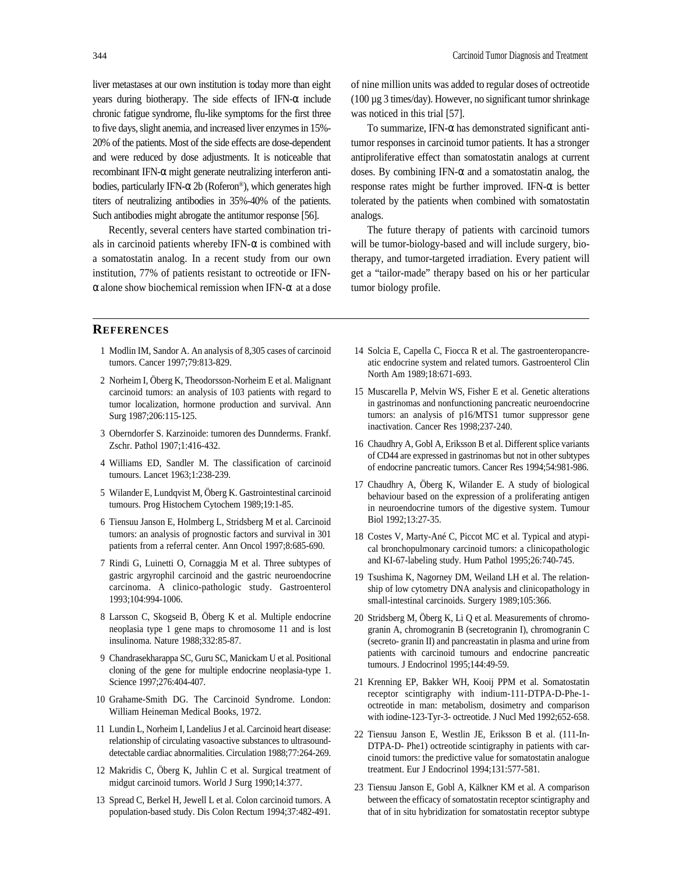liver metastases at our own institution is today more than eight years during biotherapy. The side effects of IFN- $\alpha$  include chronic fatigue syndrome, flu-like symptoms for the first three to five days, slight anemia, and increased liver enzymes in 15%- 20% of the patients. Most of the side effects are dose-dependent and were reduced by dose adjustments. It is noticeable that recombinant IFN-α might generate neutralizing interferon antibodies, particularly IFN-α 2b (Roferon®), which generates high titers of neutralizing antibodies in 35%-40% of the patients. Such antibodies might abrogate the antitumor response [56].

Recently, several centers have started combination trials in carcinoid patients whereby IFN- $\alpha$  is combined with a somatostatin analog. In a recent study from our own institution, 77% of patients resistant to octreotide or IFN- $\alpha$  alone show biochemical remission when IFN- $\alpha$  at a dose of nine million units was added to regular doses of octreotide (100 µg 3 times/day). However, no significant tumor shrinkage was noticed in this trial [57].

To summarize, IFN- $\alpha$  has demonstrated significant antitumor responses in carcinoid tumor patients. It has a stronger antiproliferative effect than somatostatin analogs at current doses. By combining IFN- $\alpha$  and a somatostatin analog, the response rates might be further improved. IFN-α is better tolerated by the patients when combined with somatostatin analogs.

The future therapy of patients with carcinoid tumors will be tumor-biology-based and will include surgery, biotherapy, and tumor-targeted irradiation. Every patient will get a "tailor-made" therapy based on his or her particular tumor biology profile.

# **REFERENCES**

- 1 Modlin IM, Sandor A. An analysis of 8,305 cases of carcinoid tumors. Cancer 1997;79:813-829.
- 2 Norheim I, Öberg K, Theodorsson-Norheim E et al. Malignant carcinoid tumors: an analysis of 103 patients with regard to tumor localization, hormone production and survival. Ann Surg 1987;206:115-125.
- 3 Oberndorfer S. Karzinoide: tumoren des Dunnderms. Frankf. Zschr. Pathol 1907;1:416-432.
- 4 Williams ED, Sandler M. The classification of carcinoid tumours. Lancet 1963;1:238-239.
- 5 Wilander E, Lundqvist M, Öberg K. Gastrointestinal carcinoid tumours. Prog Histochem Cytochem 1989;19:1-85.
- 6 Tiensuu Janson E, Holmberg L, Stridsberg M et al. Carcinoid tumors: an analysis of prognostic factors and survival in 301 patients from a referral center. Ann Oncol 1997;8:685-690.
- 7 Rindi G, Luinetti O, Cornaggia M et al. Three subtypes of gastric argyrophil carcinoid and the gastric neuroendocrine carcinoma. A clinico-pathologic study. Gastroenterol 1993;104:994-1006.
- 8 Larsson C, Skogseid B, Öberg K et al. Multiple endocrine neoplasia type 1 gene maps to chromosome 11 and is lost insulinoma. Nature 1988;332:85-87.
- 9 Chandrasekharappa SC, Guru SC, Manickam U et al. Positional cloning of the gene for multiple endocrine neoplasia-type 1. Science 1997;276:404-407.
- 10 Grahame-Smith DG. The Carcinoid Syndrome. London: William Heineman Medical Books, 1972.
- 11 Lundin L, Norheim I, Landelius J et al. Carcinoid heart disease: relationship of circulating vasoactive substances to ultrasounddetectable cardiac abnormalities. Circulation 1988;77:264-269.
- 12 Makridis C, Öberg K, Juhlin C et al. Surgical treatment of midgut carcinoid tumors. World J Surg 1990;14:377.
- 13 Spread C, Berkel H, Jewell L et al. Colon carcinoid tumors. A population-based study. Dis Colon Rectum 1994;37:482-491.
- 14 Solcia E, Capella C, Fiocca R et al. The gastroenteropancreatic endocrine system and related tumors. Gastroenterol Clin North Am 1989;18:671-693.
- 15 Muscarella P, Melvin WS, Fisher E et al. Genetic alterations in gastrinomas and nonfunctioning pancreatic neuroendocrine tumors: an analysis of p16/MTS1 tumor suppressor gene inactivation. Cancer Res 1998;237-240.
- 16 Chaudhry A, Gobl A, Eriksson B et al. Different splice variants of CD44 are expressed in gastrinomas but not in other subtypes of endocrine pancreatic tumors. Cancer Res 1994;54:981-986.
- 17 Chaudhry A, Öberg K, Wilander E. A study of biological behaviour based on the expression of a proliferating antigen in neuroendocrine tumors of the digestive system. Tumour Biol 1992;13:27-35.
- 18 Costes V, Marty-Ané C, Piccot MC et al. Typical and atypical bronchopulmonary carcinoid tumors: a clinicopathologic and KI-67-labeling study. Hum Pathol 1995;26:740-745.
- 19 Tsushima K, Nagorney DM, Weiland LH et al. The relationship of low cytometry DNA analysis and clinicopathology in small-intestinal carcinoids. Surgery 1989;105:366.
- 20 Stridsberg M, Öberg K, Li Q et al. Measurements of chromogranin A, chromogranin B (secretogranin I), chromogranin C (secreto- granin II) and pancreastatin in plasma and urine from patients with carcinoid tumours and endocrine pancreatic tumours. J Endocrinol 1995;144:49-59.
- 21 Krenning EP, Bakker WH, Kooij PPM et al. Somatostatin receptor scintigraphy with indium-111-DTPA-D-Phe-1 octreotide in man: metabolism, dosimetry and comparison with iodine-123-Tyr-3- octreotide. J Nucl Med 1992;652-658.
- 22 Tiensuu Janson E, Westlin JE, Eriksson B et al. (111-In-DTPA-D- Phe1) octreotide scintigraphy in patients with carcinoid tumors: the predictive value for somatostatin analogue treatment. Eur J Endocrinol 1994;131:577-581.
- 23 Tiensuu Janson E, Gobl A, Kälkner KM et al. A comparison between the efficacy of somatostatin receptor scintigraphy and that of in situ hybridization for somatostatin receptor subtype